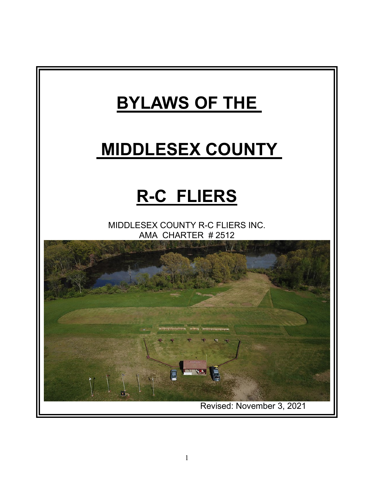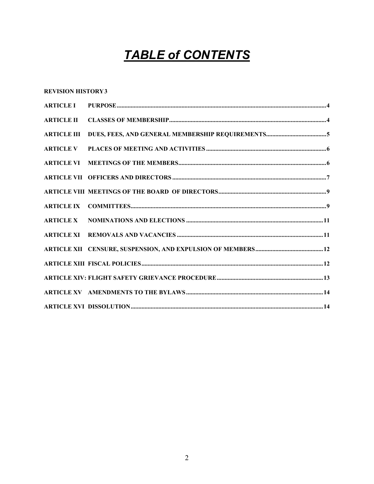# **TABLE of CONTENTS**

#### **REVISION HISTORY3**

| <b>ARTICLE II</b>  |  |
|--------------------|--|
| <b>ARTICLE III</b> |  |
| <b>ARTICLE V</b>   |  |
|                    |  |
|                    |  |
|                    |  |
|                    |  |
|                    |  |
|                    |  |
|                    |  |
|                    |  |
|                    |  |
|                    |  |
|                    |  |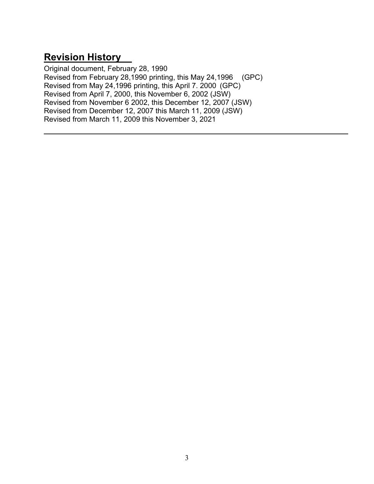### **Revision History**

Original document, February 28, 1990 Revised from February 28,1990 printing, this May 24,1996 (GPC) Revised from May 24,1996 printing, this April 7. 2000 (GPC) Revised from April 7, 2000, this November 6, 2002 (JSW) Revised from November 6 2002, this December 12, 2007 (JSW) Revised from December 12, 2007 this March 11, 2009 (JSW) Revised from March 11, 2009 this November 3, 2021

 $\mathcal{L}_\text{max}$  and  $\mathcal{L}_\text{max}$  and  $\mathcal{L}_\text{max}$  and  $\mathcal{L}_\text{max}$  and  $\mathcal{L}_\text{max}$  and  $\mathcal{L}_\text{max}$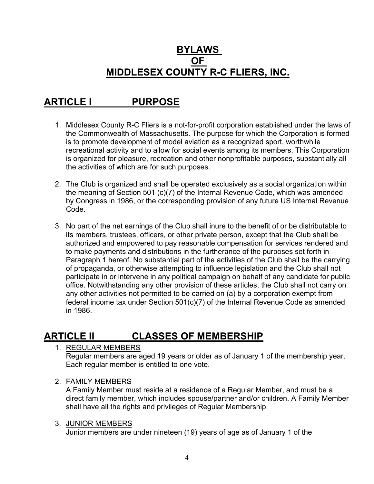#### **BYLAWS OF MIDDLESEX COUNTY R-C FLIERS, INC.**

# **ARTICLE I PURPOSE**

- 1. Middlesex County R-C Fliers is a not-for-profit corporation established under the laws of the Commonwealth of Massachusetts. The purpose for which the Corporation is formed is to promote development of model aviation as a recognized sport, worthwhile recreational activity and to allow for social events among its members. This Corporation is organized for pleasure, recreation and other nonprofitable purposes, substantially all the activities of which are for such purposes.
- 2. The Club is organized and shall be operated exclusively as a social organization within the meaning of Section 501 (c)(7) of the Internal Revenue Code, which was amended by Congress in 1986, or the corresponding provision of any future US Internal Revenue Code.
- 3. No part of the net earnings of the Club shall inure to the benefit of or be distributable to its members, trustees, officers, or other private person, except that the Club shall be authorized and empowered to pay reasonable compensation for services rendered and to make payments and distributions in the furtherance of the purposes set forth in Paragraph 1 hereof. No substantial part of the activities of the Club shall be the carrying of propaganda, or otherwise attempting to influence legislation and the Club shall not participate in or intervene in any political campaign on behalf of any candidate for public office. Notwithstanding any other provision of these articles, the Club shall not carry on any other activities not permitted to be carried on (a) by a corporation exempt from federal income tax under Section 501(c)(7) of the Internal Revenue Code as amended in 1986.

### **ARTICLE II CLASSES OF MEMBERSHIP**

1. REGULAR MEMBERS

Regular members are aged 19 years or older as of January 1 of the membership year. Each regular member is entitled to one vote.

#### 2. FAMILY MEMBERS

A Family Member must reside at a residence of a Regular Member, and must be a direct family member, which includes spouse/partner and/or children. A Family Member shall have all the rights and privileges of Regular Membership.

#### 3. JUNIOR MEMBERS

Junior members are under nineteen (19) years of age as of January 1 of the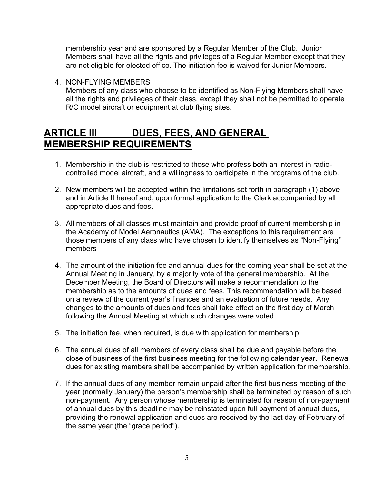membership year and are sponsored by a Regular Member of the Club. Junior Members shall have all the rights and privileges of a Regular Member except that they are not eligible for elected office. The initiation fee is waived for Junior Members.

4. NON-FLYING MEMBERS

Members of any class who choose to be identified as Non-Flying Members shall have all the rights and privileges of their class, except they shall not be permitted to operate R/C model aircraft or equipment at club flying sites.

#### **ARTICLE III DUES, FEES, AND GENERAL MEMBERSHIP REQUIREMENTS**

- 1. Membership in the club is restricted to those who profess both an interest in radiocontrolled model aircraft, and a willingness to participate in the programs of the club.
- 2. New members will be accepted within the limitations set forth in paragraph (1) above and in Article II hereof and, upon formal application to the Clerk accompanied by all appropriate dues and fees.
- 3. All members of all classes must maintain and provide proof of current membership in the Academy of Model Aeronautics (AMA). The exceptions to this requirement are those members of any class who have chosen to identify themselves as "Non-Flying" members
- 4. The amount of the initiation fee and annual dues for the coming year shall be set at the Annual Meeting in January, by a majority vote of the general membership. At the December Meeting, the Board of Directors will make a recommendation to the membership as to the amounts of dues and fees. This recommendation will be based on a review of the current year's finances and an evaluation of future needs. Any changes to the amounts of dues and fees shall take effect on the first day of March following the Annual Meeting at which such changes were voted.
- 5. The initiation fee, when required, is due with application for membership.
- 6. The annual dues of all members of every class shall be due and payable before the close of business of the first business meeting for the following calendar year. Renewal dues for existing members shall be accompanied by written application for membership.
- 7. If the annual dues of any member remain unpaid after the first business meeting of the year (normally January) the person's membership shall be terminated by reason of such non-payment. Any person whose membership is terminated for reason of non-payment of annual dues by this deadline may be reinstated upon full payment of annual dues, providing the renewal application and dues are received by the last day of February of the same year (the "grace period").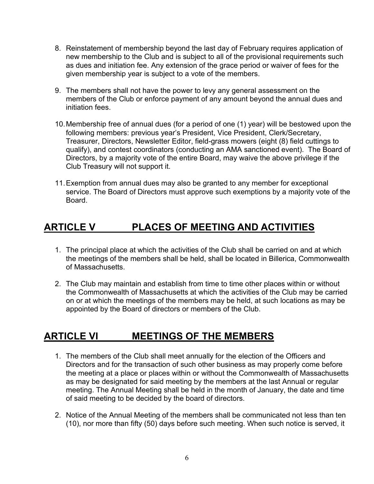- 8. Reinstatement of membership beyond the last day of February requires application of new membership to the Club and is subject to all of the provisional requirements such as dues and initiation fee. Any extension of the grace period or waiver of fees for the given membership year is subject to a vote of the members.
- 9. The members shall not have the power to levy any general assessment on the members of the Club or enforce payment of any amount beyond the annual dues and initiation fees.
- 10.Membership free of annual dues (for a period of one (1) year) will be bestowed upon the following members: previous year's President, Vice President, Clerk/Secretary, Treasurer, Directors, Newsletter Editor, field-grass mowers (eight (8) field cuttings to qualify), and contest coordinators (conducting an AMA sanctioned event). The Board of Directors, by a majority vote of the entire Board, may waive the above privilege if the Club Treasury will not support it.
- 11.Exemption from annual dues may also be granted to any member for exceptional service. The Board of Directors must approve such exemptions by a majority vote of the Board.

### **ARTICLE V PLACES OF MEETING AND ACTIVITIES**

- 1. The principal place at which the activities of the Club shall be carried on and at which the meetings of the members shall be held, shall be located in Billerica, Commonwealth of Massachusetts.
- 2. The Club may maintain and establish from time to time other places within or without the Commonwealth of Massachusetts at which the activities of the Club may be carried on or at which the meetings of the members may be held, at such locations as may be appointed by the Board of directors or members of the Club.

#### **ARTICLE VI MEETINGS OF THE MEMBERS**

- 1. The members of the Club shall meet annually for the election of the Officers and Directors and for the transaction of such other business as may properly come before the meeting at a place or places within or without the Commonwealth of Massachusetts as may be designated for said meeting by the members at the last Annual or regular meeting. The Annual Meeting shall be held in the month of January, the date and time of said meeting to be decided by the board of directors.
- 2. Notice of the Annual Meeting of the members shall be communicated not less than ten (10), nor more than fifty (50) days before such meeting. When such notice is served, it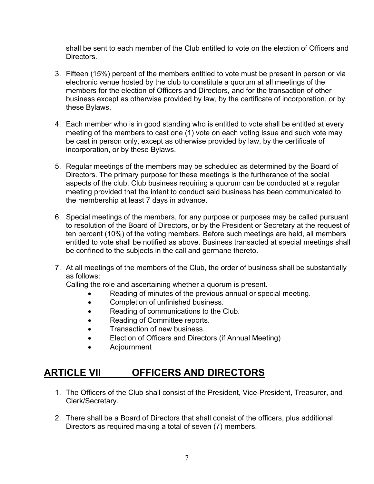shall be sent to each member of the Club entitled to vote on the election of Officers and **Directors** 

- 3. Fifteen (15%) percent of the members entitled to vote must be present in person or via electronic venue hosted by the club to constitute a quorum at all meetings of the members for the election of Officers and Directors, and for the transaction of other business except as otherwise provided by law, by the certificate of incorporation, or by these Bylaws.
- 4. Each member who is in good standing who is entitled to vote shall be entitled at every meeting of the members to cast one (1) vote on each voting issue and such vote may be cast in person only, except as otherwise provided by law, by the certificate of incorporation, or by these Bylaws.
- 5. Regular meetings of the members may be scheduled as determined by the Board of Directors. The primary purpose for these meetings is the furtherance of the social aspects of the club. Club business requiring a quorum can be conducted at a regular meeting provided that the intent to conduct said business has been communicated to the membership at least 7 days in advance.
- 6. Special meetings of the members, for any purpose or purposes may be called pursuant to resolution of the Board of Directors, or by the President or Secretary at the request of ten percent (10%) of the voting members. Before such meetings are held, all members entitled to vote shall be notified as above. Business transacted at special meetings shall be confined to the subjects in the call and germane thereto.
- 7. At all meetings of the members of the Club, the order of business shall be substantially as follows:

Calling the role and ascertaining whether a quorum is present.

- Reading of minutes of the previous annual or special meeting.
- Completion of unfinished business.
- Reading of communications to the Club.
- Reading of Committee reports.
- Transaction of new business.
- Election of Officers and Directors (if Annual Meeting)
- Adjournment

#### **ARTICLE VII OFFICERS AND DIRECTORS**

- 1. The Officers of the Club shall consist of the President, Vice-President, Treasurer, and Clerk/Secretary.
- 2. There shall be a Board of Directors that shall consist of the officers, plus additional Directors as required making a total of seven (7) members.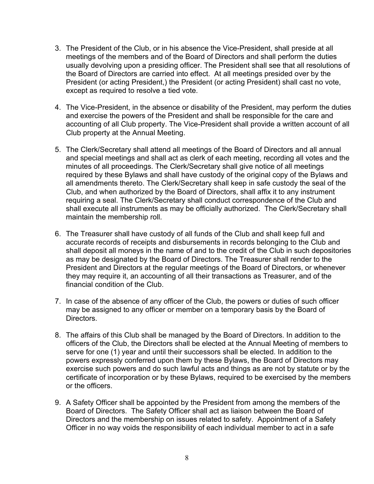- 3. The President of the Club, or in his absence the Vice-President, shall preside at all meetings of the members and of the Board of Directors and shall perform the duties usually devolving upon a presiding officer. The President shall see that all resolutions of the Board of Directors are carried into effect. At all meetings presided over by the President (or acting President,) the President (or acting President) shall cast no vote, except as required to resolve a tied vote.
- 4. The Vice-President, in the absence or disability of the President, may perform the duties and exercise the powers of the President and shall be responsible for the care and accounting of all Club property. The Vice-President shall provide a written account of all Club property at the Annual Meeting.
- 5. The Clerk/Secretary shall attend all meetings of the Board of Directors and all annual and special meetings and shall act as clerk of each meeting, recording all votes and the minutes of all proceedings. The Clerk/Secretary shall give notice of all meetings required by these Bylaws and shall have custody of the original copy of the Bylaws and all amendments thereto. The Clerk/Secretary shall keep in safe custody the seal of the Club, and when authorized by the Board of Directors, shall affix it to any instrument requiring a seal. The Clerk/Secretary shall conduct correspondence of the Club and shall execute all instruments as may be officially authorized. The Clerk/Secretary shall maintain the membership roll.
- 6. The Treasurer shall have custody of all funds of the Club and shall keep full and accurate records of receipts and disbursements in records belonging to the Club and shall deposit all moneys in the name of and to the credit of the Club in such depositories as may be designated by the Board of Directors. The Treasurer shall render to the President and Directors at the regular meetings of the Board of Directors, or whenever they may require it, an accounting of all their transactions as Treasurer, and of the financial condition of the Club.
- 7. In case of the absence of any officer of the Club, the powers or duties of such officer may be assigned to any officer or member on a temporary basis by the Board of Directors.
- 8. The affairs of this Club shall be managed by the Board of Directors. In addition to the officers of the Club, the Directors shall be elected at the Annual Meeting of members to serve for one (1) year and until their successors shall be elected. In addition to the powers expressly conferred upon them by these Bylaws, the Board of Directors may exercise such powers and do such lawful acts and things as are not by statute or by the certificate of incorporation or by these Bylaws, required to be exercised by the members or the officers.
- 9. A Safety Officer shall be appointed by the President from among the members of the Board of Directors. The Safety Officer shall act as liaison between the Board of Directors and the membership on issues related to safety. Appointment of a Safety Officer in no way voids the responsibility of each individual member to act in a safe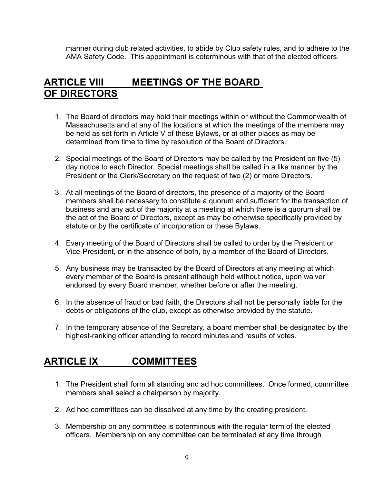manner during club related activities, to abide by Club safety rules, and to adhere to the AMA Safety Code. This appointment is coterminous with that of the elected officers.

#### **ARTICLE VIII MEETINGS OF THE BOARD OF DIRECTORS**

- 1. The Board of directors may hold their meetings within or without the Commonwealth of Massachusetts and at any of the locations at which the meetings of the members may be held as set forth in Article V of these Bylaws, or at other places as may be determined from time to time by resolution of the Board of Directors.
- 2. Special meetings of the Board of Directors may be called by the President on five (5) day notice to each Director. Special meetings shall be called in a like manner by the President or the Clerk/Secretary on the request of two (2) or more Directors.
- 3. At all meetings of the Board of directors, the presence of a majority of the Board members shall be necessary to constitute a quorum and sufficient for the transaction of business and any act of the majority at a meeting at which there is a quorum shall be the act of the Board of Directors, except as may be otherwise specifically provided by statute or by the certificate of incorporation or these Bylaws.
- 4. Every meeting of the Board of Directors shall be called to order by the President or Vice-President, or in the absence of both, by a member of the Board of Directors.
- 5. Any business may be transacted by the Board of Directors at any meeting at which every member of the Board is present although held without notice, upon waiver endorsed by every Board member, whether before or after the meeting.
- 6. In the absence of fraud or bad faith, the Directors shall not be personally liable for the debts or obligations of the club, except as otherwise provided by the statute.
- 7. In the temporary absence of the Secretary, a board member shall be designated by the highest-ranking officer attending to record minutes and results of votes.

### **ARTICLE IX COMMITTEES**

- 1. The President shall form all standing and ad hoc committees. Once formed, committee members shall select a chairperson by majority.
- 2. Ad hoc committees can be dissolved at any time by the creating president.
- 3. Membership on any committee is coterminous with the regular term of the elected officers. Membership on any committee can be terminated at any time through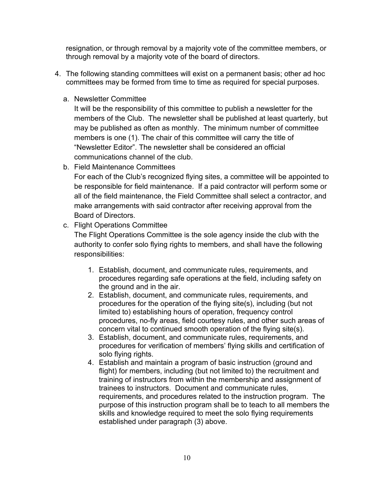resignation, or through removal by a majority vote of the committee members, or through removal by a majority vote of the board of directors.

- 4. The following standing committees will exist on a permanent basis; other ad hoc committees may be formed from time to time as required for special purposes.
	- a. Newsletter Committee

It will be the responsibility of this committee to publish a newsletter for the members of the Club. The newsletter shall be published at least quarterly, but may be published as often as monthly. The minimum number of committee members is one (1). The chair of this committee will carry the title of "Newsletter Editor". The newsletter shall be considered an official communications channel of the club.

b. Field Maintenance Committees

For each of the Club's recognized flying sites, a committee will be appointed to be responsible for field maintenance. If a paid contractor will perform some or all of the field maintenance, the Field Committee shall select a contractor, and make arrangements with said contractor after receiving approval from the Board of Directors.

c. Flight Operations Committee

The Flight Operations Committee is the sole agency inside the club with the authority to confer solo flying rights to members, and shall have the following responsibilities:

- 1. Establish, document, and communicate rules, requirements, and procedures regarding safe operations at the field, including safety on the ground and in the air.
- 2. Establish, document, and communicate rules, requirements, and procedures for the operation of the flying site(s), including (but not limited to) establishing hours of operation, frequency control procedures, no-fly areas, field courtesy rules, and other such areas of concern vital to continued smooth operation of the flying site(s).
- 3. Establish, document, and communicate rules, requirements, and procedures for verification of members' flying skills and certification of solo flying rights.
- 4. Establish and maintain a program of basic instruction (ground and flight) for members, including (but not limited to) the recruitment and training of instructors from within the membership and assignment of trainees to instructors. Document and communicate rules, requirements, and procedures related to the instruction program. The purpose of this instruction program shall be to teach to all members the skills and knowledge required to meet the solo flying requirements established under paragraph (3) above.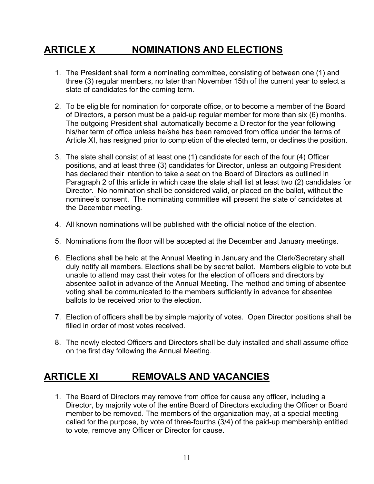# **ARTICLE X NOMINATIONS AND ELECTIONS**

- 1. The President shall form a nominating committee, consisting of between one (1) and three (3) regular members, no later than November 15th of the current year to select a slate of candidates for the coming term.
- 2. To be eligible for nomination for corporate office, or to become a member of the Board of Directors, a person must be a paid-up regular member for more than six (6) months. The outgoing President shall automatically become a Director for the year following his/her term of office unless he/she has been removed from office under the terms of Article XI, has resigned prior to completion of the elected term, or declines the position.
- 3. The slate shall consist of at least one (1) candidate for each of the four (4) Officer positions, and at least three (3) candidates for Director, unless an outgoing President has declared their intention to take a seat on the Board of Directors as outlined in Paragraph 2 of this article in which case the slate shall list at least two (2) candidates for Director. No nomination shall be considered valid, or placed on the ballot, without the nominee's consent. The nominating committee will present the slate of candidates at the December meeting.
- 4. All known nominations will be published with the official notice of the election.
- 5. Nominations from the floor will be accepted at the December and January meetings.
- 6. Elections shall be held at the Annual Meeting in January and the Clerk/Secretary shall duly notify all members. Elections shall be by secret ballot. Members eligible to vote but unable to attend may cast their votes for the election of officers and directors by absentee ballot in advance of the Annual Meeting. The method and timing of absentee voting shall be communicated to the members sufficiently in advance for absentee ballots to be received prior to the election.
- 7. Election of officers shall be by simple majority of votes. Open Director positions shall be filled in order of most votes received.
- 8. The newly elected Officers and Directors shall be duly installed and shall assume office on the first day following the Annual Meeting.

### **ARTICLE XI REMOVALS AND VACANCIES**

1. The Board of Directors may remove from office for cause any officer, including a Director, by majority vote of the entire Board of Directors excluding the Officer or Board member to be removed. The members of the organization may, at a special meeting called for the purpose, by vote of three-fourths (3/4) of the paid-up membership entitled to vote, remove any Officer or Director for cause.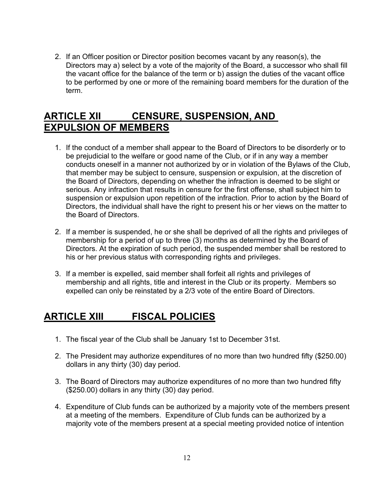2. If an Officer position or Director position becomes vacant by any reason(s), the Directors may a) select by a vote of the majority of the Board, a successor who shall fill the vacant office for the balance of the term or b) assign the duties of the vacant office to be performed by one or more of the remaining board members for the duration of the term.

#### **ARTICLE XII CENSURE, SUSPENSION, AND EXPULSION OF MEMBERS**

- 1. If the conduct of a member shall appear to the Board of Directors to be disorderly or to be prejudicial to the welfare or good name of the Club, or if in any way a member conducts oneself in a manner not authorized by or in violation of the Bylaws of the Club, that member may be subject to censure, suspension or expulsion, at the discretion of the Board of Directors, depending on whether the infraction is deemed to be slight or serious. Any infraction that results in censure for the first offense, shall subject him to suspension or expulsion upon repetition of the infraction. Prior to action by the Board of Directors, the individual shall have the right to present his or her views on the matter to the Board of Directors.
- 2. If a member is suspended, he or she shall be deprived of all the rights and privileges of membership for a period of up to three (3) months as determined by the Board of Directors. At the expiration of such period, the suspended member shall be restored to his or her previous status with corresponding rights and privileges.
- 3. If a member is expelled, said member shall forfeit all rights and privileges of membership and all rights, title and interest in the Club or its property. Members so expelled can only be reinstated by a 2/3 vote of the entire Board of Directors.

### **ARTICLE XIII FISCAL POLICIES**

- 1. The fiscal year of the Club shall be January 1st to December 31st.
- 2. The President may authorize expenditures of no more than two hundred fifty (\$250.00) dollars in any thirty (30) day period.
- 3. The Board of Directors may authorize expenditures of no more than two hundred fifty (\$250.00) dollars in any thirty (30) day period.
- 4. Expenditure of Club funds can be authorized by a majority vote of the members present at a meeting of the members. Expenditure of Club funds can be authorized by a majority vote of the members present at a special meeting provided notice of intention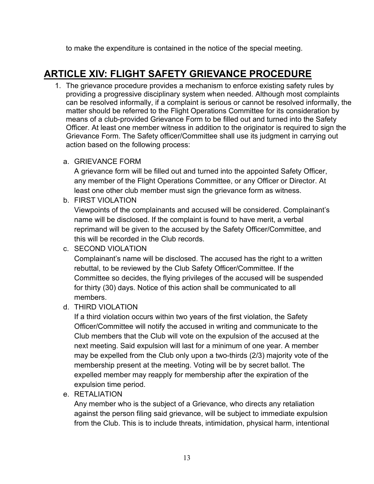to make the expenditure is contained in the notice of the special meeting.

# **ARTICLE XIV: FLIGHT SAFETY GRIEVANCE PROCEDURE**

- 1. The grievance procedure provides a mechanism to enforce existing safety rules by providing a progressive disciplinary system when needed. Although most complaints can be resolved informally, if a complaint is serious or cannot be resolved informally, the matter should be referred to the Flight Operations Committee for its consideration by means of a club-provided Grievance Form to be filled out and turned into the Safety Officer. At least one member witness in addition to the originator is required to sign the Grievance Form. The Safety officer/Committee shall use its judgment in carrying out action based on the following process:
	- a. GRIEVANCE FORM

A grievance form will be filled out and turned into the appointed Safety Officer, any member of the Flight Operations Committee, or any Officer or Director. At least one other club member must sign the grievance form as witness.

b. FIRST VIOLATION

Viewpoints of the complainants and accused will be considered. Complainant's name will be disclosed. If the complaint is found to have merit, a verbal reprimand will be given to the accused by the Safety Officer/Committee, and this will be recorded in the Club records.

c. SECOND VIOLATION

Complainant's name will be disclosed. The accused has the right to a written rebuttal, to be reviewed by the Club Safety Officer/Committee. If the Committee so decides, the flying privileges of the accused will be suspended for thirty (30) days. Notice of this action shall be communicated to all members.

d. THIRD VIOLATION

If a third violation occurs within two years of the first violation, the Safety Officer/Committee will notify the accused in writing and communicate to the Club members that the Club will vote on the expulsion of the accused at the next meeting. Said expulsion will last for a minimum of one year. A member may be expelled from the Club only upon a two-thirds (2/3) majority vote of the membership present at the meeting. Voting will be by secret ballot. The expelled member may reapply for membership after the expiration of the expulsion time period.

e. RETALIATION

Any member who is the subject of a Grievance, who directs any retaliation against the person filing said grievance, will be subject to immediate expulsion from the Club. This is to include threats, intimidation, physical harm, intentional